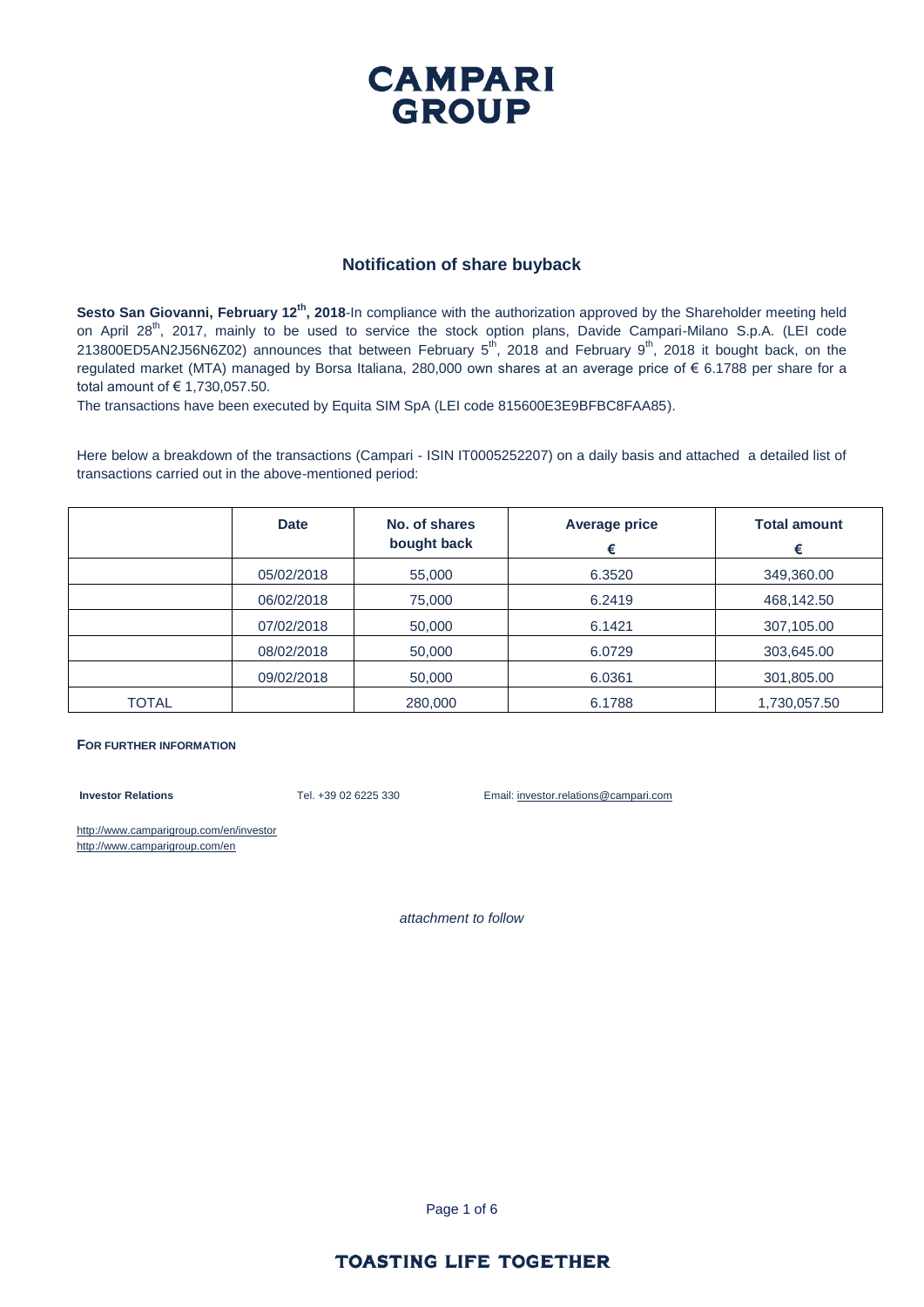### **CAMPARI GROUP**

#### **Notification of share buyback**

**Sesto San Giovanni, February 12th, 2018**-In compliance with the authorization approved by the Shareholder meeting held on April 28<sup>th</sup>, 2017, mainly to be used to service the stock option plans, Davide Campari-Milano S.p.A. (LEI code 213800ED5AN2J56N6Z02) announces that between February  $5^{th}$ , 2018 and February  $9^{th}$ , 2018 it bought back, on the regulated market (MTA) managed by Borsa Italiana, 280,000 own shares at an average price of € 6.1788 per share for a total amount of € 1,730,057.50.

The transactions have been executed by Equita SIM SpA (LEI code 815600E3E9BFBC8FAA85).

Here below a breakdown of the transactions (Campari - ISIN IT0005252207) on a daily basis and attached a detailed list of transactions carried out in the above-mentioned period:

|       | <b>Date</b> | No. of shares<br>bought back | <b>Average price</b><br>€ | <b>Total amount</b><br>€ |
|-------|-------------|------------------------------|---------------------------|--------------------------|
|       | 05/02/2018  | 55,000                       | 6.3520                    | 349,360.00               |
|       | 06/02/2018  | 75,000                       | 6.2419                    | 468,142.50               |
|       | 07/02/2018  | 50,000                       | 6.1421                    | 307,105.00               |
|       | 08/02/2018  | 50,000                       | 6.0729                    | 303,645.00               |
|       | 09/02/2018  | 50,000                       | 6.0361                    | 301,805.00               |
| TOTAL |             | 280,000                      | 6.1788                    | 1,730,057.50             |

#### **FOR FURTHER INFORMATION**

**Investor Relations** Tel. +39 02 6225 330 Email: investor.relations@campari.com

http://www.camparigroup.com/en/investor http://www.camparigroup.com/en

*attachment to follow*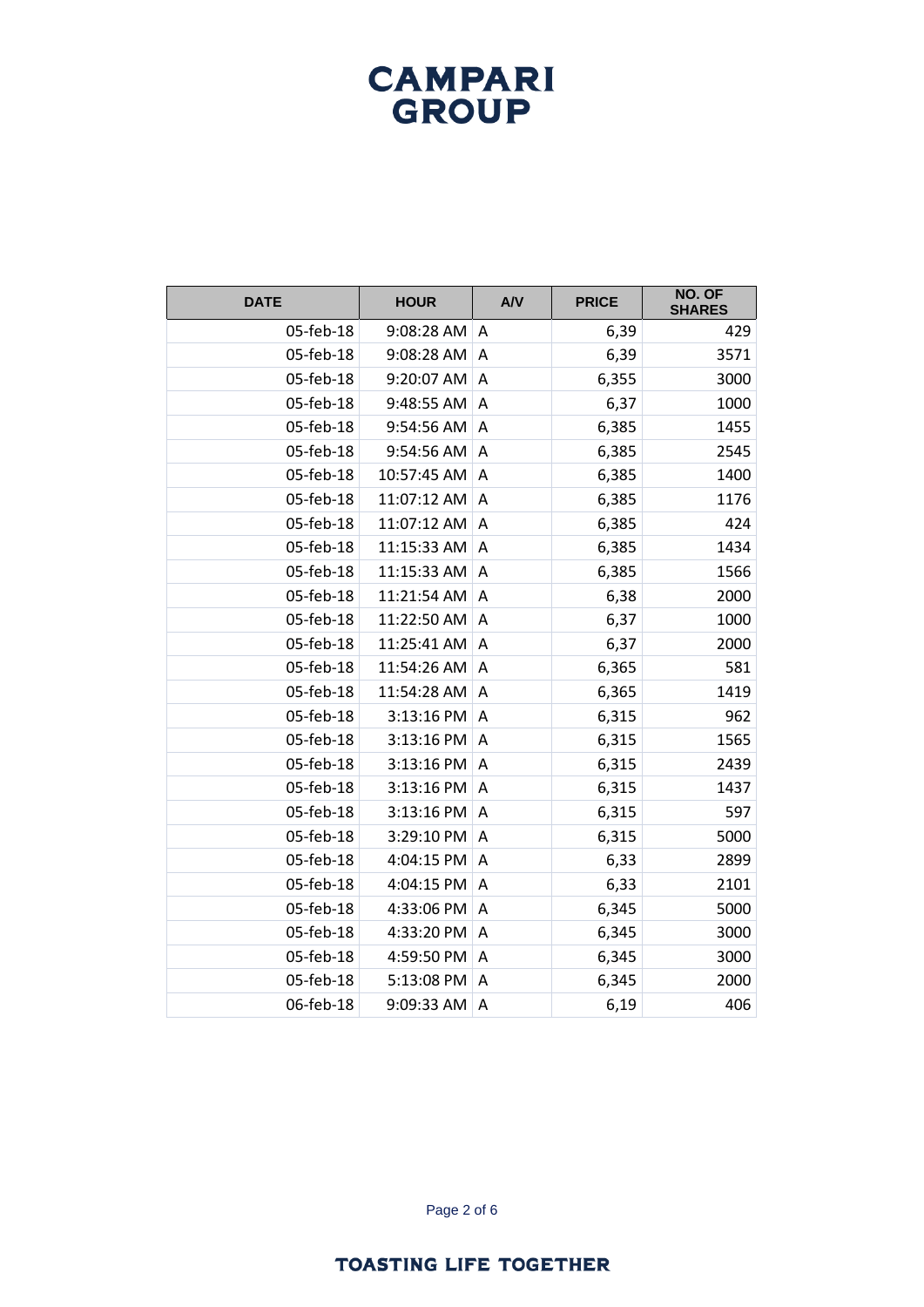| <b>DATE</b> | <b>HOUR</b> | AV             | <b>PRICE</b> | NO. OF<br><b>SHARES</b> |
|-------------|-------------|----------------|--------------|-------------------------|
| 05-feb-18   | 9:08:28 AM  | A              | 6,39         | 429                     |
| 05-feb-18   | 9:08:28 AM  | A              | 6,39         | 3571                    |
| 05-feb-18   | 9:20:07 AM  | Α              | 6,355        | 3000                    |
| 05-feb-18   | 9:48:55 AM  | Α              | 6,37         | 1000                    |
| 05-feb-18   | 9:54:56 AM  | A              | 6,385        | 1455                    |
| 05-feb-18   | 9:54:56 AM  | Α              | 6,385        | 2545                    |
| 05-feb-18   | 10:57:45 AM | A              | 6,385        | 1400                    |
| 05-feb-18   | 11:07:12 AM | A              | 6,385        | 1176                    |
| 05-feb-18   | 11:07:12 AM | A              | 6,385        | 424                     |
| 05-feb-18   | 11:15:33 AM | A              | 6,385        | 1434                    |
| 05-feb-18   | 11:15:33 AM | A              | 6,385        | 1566                    |
| 05-feb-18   | 11:21:54 AM | A              | 6,38         | 2000                    |
| 05-feb-18   | 11:22:50 AM | Α              | 6,37         | 1000                    |
| 05-feb-18   | 11:25:41 AM | A              | 6,37         | 2000                    |
| 05-feb-18   | 11:54:26 AM | A              | 6,365        | 581                     |
| 05-feb-18   | 11:54:28 AM | $\overline{A}$ | 6,365        | 1419                    |
| 05-feb-18   | 3:13:16 PM  | Α              | 6,315        | 962                     |
| 05-feb-18   | 3:13:16 PM  | A              | 6,315        | 1565                    |
| 05-feb-18   | 3:13:16 PM  | A              | 6,315        | 2439                    |
| 05-feb-18   | 3:13:16 PM  | $\overline{A}$ | 6,315        | 1437                    |
| 05-feb-18   | 3:13:16 PM  | A              | 6,315        | 597                     |
| 05-feb-18   | 3:29:10 PM  | Α              | 6,315        | 5000                    |
| 05-feb-18   | 4:04:15 PM  | $\overline{A}$ | 6,33         | 2899                    |
| 05-feb-18   | 4:04:15 PM  | Α              | 6,33         | 2101                    |
| 05-feb-18   | 4:33:06 PM  | Α              | 6,345        | 5000                    |
| 05-feb-18   | 4:33:20 PM  | Α              | 6,345        | 3000                    |
| 05-feb-18   | 4:59:50 PM  | A              | 6,345        | 3000                    |
| 05-feb-18   | 5:13:08 PM  | A              | 6,345        | 2000                    |
| 06-feb-18   | 9:09:33 AM  | A              | 6,19         | 406                     |

Page 2 of 6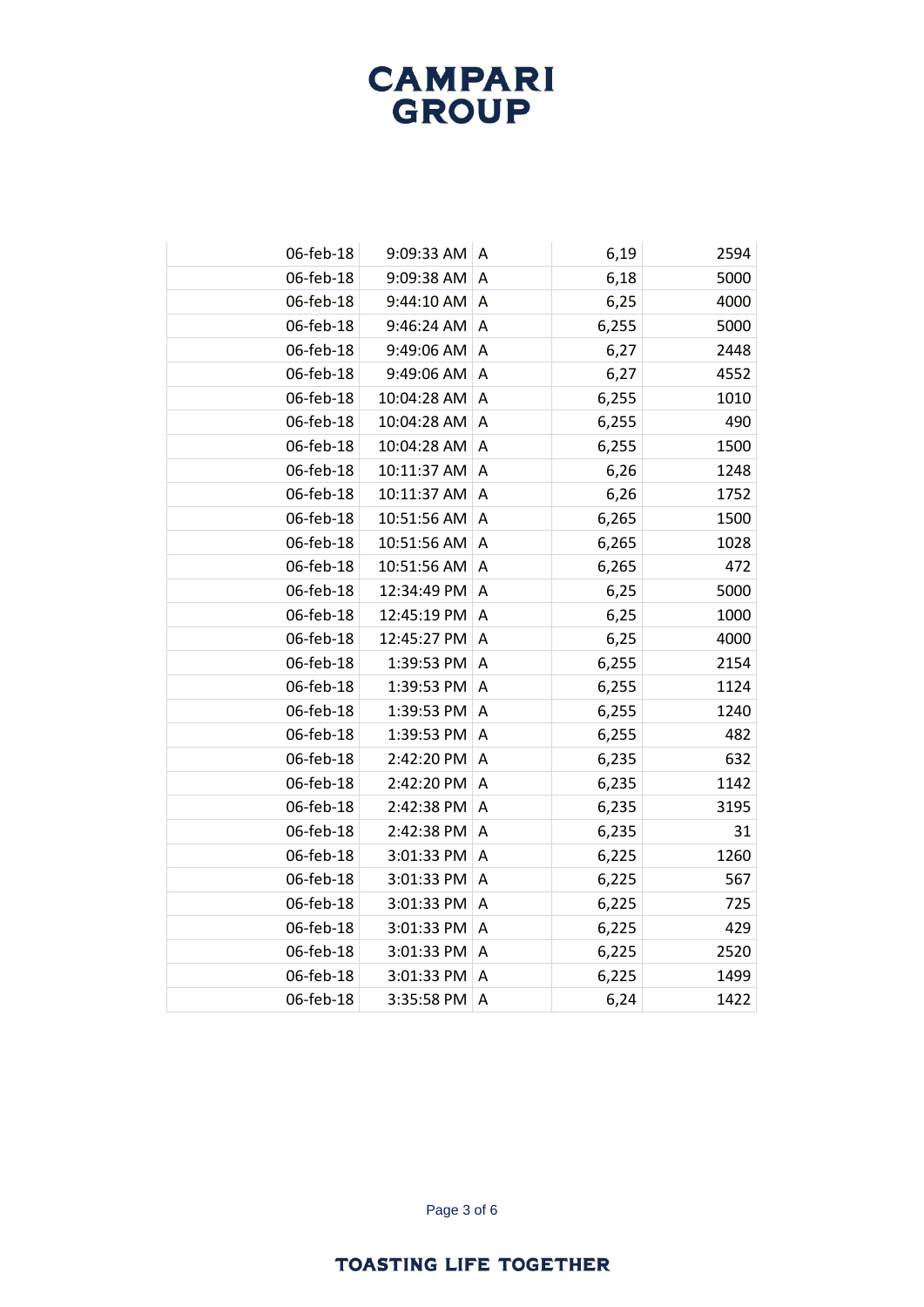| 06-feb-18 | 9:09:33 AM A |                | 6,19  | 2594 |
|-----------|--------------|----------------|-------|------|
| 06-feb-18 | 9:09:38 AM   | A              | 6,18  | 5000 |
| 06-feb-18 | 9:44:10 AM   | A              | 6,25  | 4000 |
| 06-feb-18 | 9:46:24 AM   | A              | 6,255 | 5000 |
| 06-feb-18 | 9:49:06 AM   | $\overline{A}$ | 6,27  | 2448 |
| 06-feb-18 | 9:49:06 AM   | A              | 6,27  | 4552 |
| 06-feb-18 | 10:04:28 AM  | A              | 6,255 | 1010 |
| 06-feb-18 | 10:04:28 AM  | $\overline{A}$ | 6,255 | 490  |
| 06-feb-18 | 10:04:28 AM  | A              | 6,255 | 1500 |
| 06-feb-18 | 10:11:37 AM  | A              | 6,26  | 1248 |
| 06-feb-18 | 10:11:37 AM  | A              | 6,26  | 1752 |
| 06-feb-18 | 10:51:56 AM  | A              | 6,265 | 1500 |
| 06-feb-18 | 10:51:56 AM  | A              | 6,265 | 1028 |
| 06-feb-18 | 10:51:56 AM  | A              | 6,265 | 472  |
| 06-feb-18 | 12:34:49 PM  | A              | 6,25  | 5000 |
| 06-feb-18 | 12:45:19 PM  | A              | 6,25  | 1000 |
| 06-feb-18 | 12:45:27 PM  | A              | 6,25  | 4000 |
| 06-feb-18 | 1:39:53 PM   | $\overline{A}$ | 6,255 | 2154 |
| 06-feb-18 | 1:39:53 PM   | A              | 6,255 | 1124 |
| 06-feb-18 | 1:39:53 PM   | A              | 6,255 | 1240 |
| 06-feb-18 | 1:39:53 PM   | $\overline{A}$ | 6,255 | 482  |
| 06-feb-18 | 2:42:20 PM   | A              | 6,235 | 632  |
| 06-feb-18 | 2:42:20 PM   | A              | 6,235 | 1142 |
| 06-feb-18 | 2:42:38 PM   | $\overline{A}$ | 6,235 | 3195 |
| 06-feb-18 | 2:42:38 PM   | Α              | 6,235 | 31   |
| 06-feb-18 | 3:01:33 PM   | A              | 6,225 | 1260 |
| 06-feb-18 | 3:01:33 PM   | A              | 6,225 | 567  |
| 06-feb-18 | 3:01:33 PM   | Α              | 6,225 | 725  |
| 06-feb-18 | 3:01:33 PM   | A              | 6,225 | 429  |
| 06-feb-18 | 3:01:33 PM   | A              | 6,225 | 2520 |
| 06-feb-18 | 3:01:33 PM   | A              | 6,225 | 1499 |
| 06-feb-18 | 3:35:58 PM   | A              | 6,24  | 1422 |

Page 3 of 6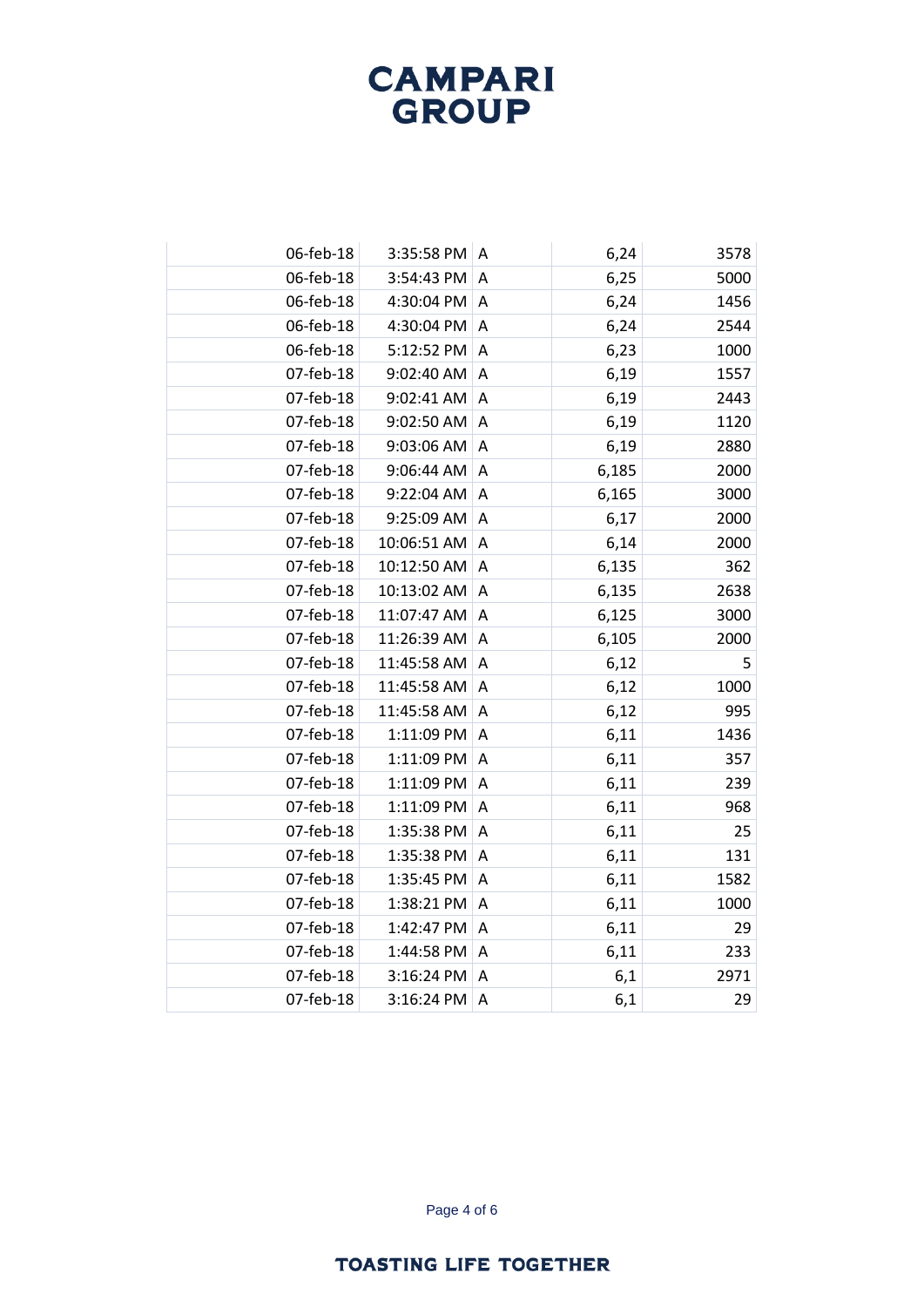| 06-feb-18 |             | 3:35:58 PM<br>A              | 6,24  | 3578 |
|-----------|-------------|------------------------------|-------|------|
| 06-feb-18 | 3:54:43 PM  | A                            | 6,25  | 5000 |
| 06-feb-18 |             | 4:30:04 PM<br>A              | 6,24  | 1456 |
| 06-feb-18 |             | 4:30:04 PM<br>A              | 6,24  | 2544 |
| 06-feb-18 |             | 5:12:52 PM<br>A              | 6,23  | 1000 |
| 07-feb-18 | 9:02:40 AM  | Α                            | 6,19  | 1557 |
| 07-feb-18 |             | 9:02:41 AM<br>Α              | 6,19  | 2443 |
| 07-feb-18 | 9:02:50 AM  | A                            | 6,19  | 1120 |
| 07-feb-18 | 9:03:06 AM  | A                            | 6,19  | 2880 |
| 07-feb-18 | 9:06:44 AM  | A                            | 6,185 | 2000 |
| 07-feb-18 | 9:22:04 AM  | $\overline{A}$               | 6,165 | 3000 |
| 07-feb-18 | 9:25:09 AM  | A                            | 6,17  | 2000 |
| 07-feb-18 | 10:06:51 AM | A                            | 6,14  | 2000 |
| 07-feb-18 | 10:12:50 AM | $\overline{A}$               | 6,135 | 362  |
| 07-feb-18 | 10:13:02 AM | A                            | 6,135 | 2638 |
| 07-feb-18 | 11:07:47 AM | A                            | 6,125 | 3000 |
| 07-feb-18 | 11:26:39 AM | A                            | 6,105 | 2000 |
| 07-feb-18 | 11:45:58 AM | A                            | 6,12  | 5    |
| 07-feb-18 | 11:45:58 AM | Α                            | 6,12  | 1000 |
| 07-feb-18 | 11:45:58 AM | A                            | 6,12  | 995  |
| 07-feb-18 |             | 1:11:09 PM<br>A              | 6,11  | 1436 |
| 07-feb-18 |             | 1:11:09 PM<br>A              | 6,11  | 357  |
| 07-feb-18 |             | 1:11:09 PM<br>$\overline{A}$ | 6,11  | 239  |
| 07-feb-18 |             | 1:11:09 PM<br>$\overline{A}$ | 6,11  | 968  |
| 07-feb-18 |             | 1:35:38 PM<br>A              | 6,11  | 25   |
| 07-feb-18 |             | 1:35:38 PM<br>A              | 6,11  | 131  |
| 07-feb-18 |             | 1:35:45 PM<br>A              | 6,11  | 1582 |
| 07-feb-18 |             | 1:38:21 PM<br>Α              | 6,11  | 1000 |
| 07-feb-18 |             | 1:42:47 PM<br>A              | 6,11  | 29   |
| 07-feb-18 |             | 1:44:58 PM<br>A              | 6,11  | 233  |
| 07-feb-18 |             | 3:16:24 PM<br>Α              | 6,1   | 2971 |
| 07-feb-18 |             | 3:16:24 PM<br>A              | 6,1   | 29   |

Page 4 of 6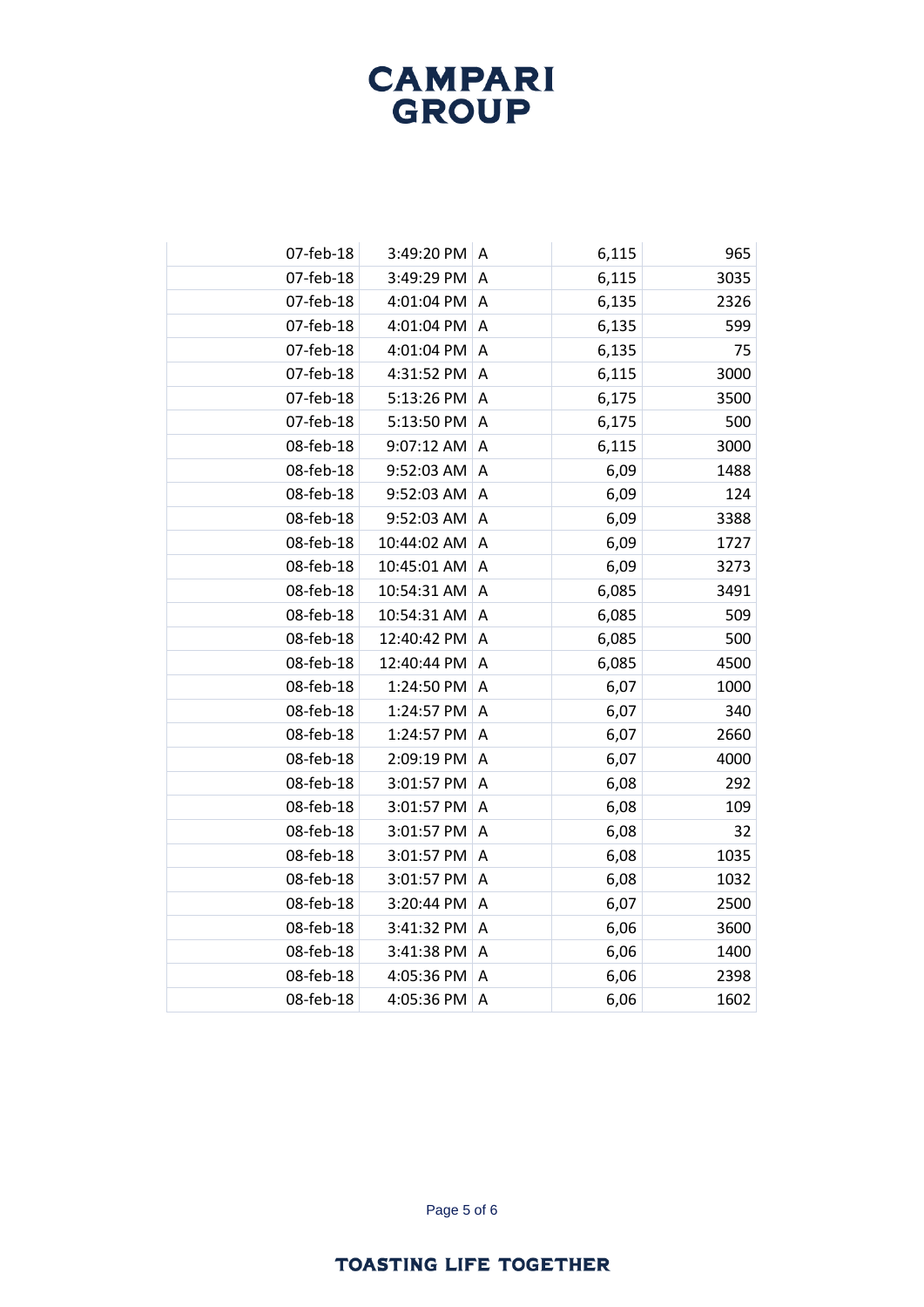| 07-feb-18<br>3:49:20 PM A<br>6,115<br>07-feb-18<br>3:49:29 PM<br>6,115<br>A<br>07-feb-18<br>6,135<br>4:01:04 PM<br>A<br>07-feb-18<br>6,135<br>4:01:04 PM<br>Α<br>07-feb-18<br>4:01:04 PM<br>6,135<br>A | 965<br>3035<br>2326<br>599<br>75<br>3000<br>3500<br>500<br>3000 |
|--------------------------------------------------------------------------------------------------------------------------------------------------------------------------------------------------------|-----------------------------------------------------------------|
|                                                                                                                                                                                                        |                                                                 |
|                                                                                                                                                                                                        |                                                                 |
|                                                                                                                                                                                                        |                                                                 |
|                                                                                                                                                                                                        |                                                                 |
|                                                                                                                                                                                                        |                                                                 |
| 07-feb-18<br>4:31:52 PM<br>6,115<br>A                                                                                                                                                                  |                                                                 |
| 07-feb-18<br>5:13:26 PM<br>6,175<br>$\boldsymbol{\mathsf{A}}$                                                                                                                                          |                                                                 |
| 07-feb-18<br>5:13:50 PM<br>6,175<br>A                                                                                                                                                                  |                                                                 |
| 08-feb-18<br>9:07:12 AM<br>$\boldsymbol{\mathsf{A}}$<br>6,115                                                                                                                                          |                                                                 |
| 08-feb-18<br>9:52:03 AM<br>6,09<br>Α                                                                                                                                                                   | 1488                                                            |
| 08-feb-18<br>9:52:03 AM<br>6,09<br>Α                                                                                                                                                                   | 124                                                             |
| 08-feb-18<br>9:52:03 AM<br>A<br>6,09                                                                                                                                                                   | 3388                                                            |
| 08-feb-18<br>10:44:02 AM<br>6,09<br>Α                                                                                                                                                                  | 1727                                                            |
| 08-feb-18<br>10:45:01 AM<br>6,09<br>A                                                                                                                                                                  | 3273                                                            |
| 08-feb-18<br>6,085<br>10:54:31 AM<br>A                                                                                                                                                                 | 3491                                                            |
| 08-feb-18<br>10:54:31 AM<br>6,085<br>Α                                                                                                                                                                 | 509                                                             |
| 08-feb-18<br>12:40:42 PM<br>6,085<br>A                                                                                                                                                                 | 500                                                             |
| 08-feb-18<br>12:40:44 PM<br>$\boldsymbol{\mathsf{A}}$<br>6,085                                                                                                                                         | 4500                                                            |
| 08-feb-18<br>1:24:50 PM<br>6,07<br>Α                                                                                                                                                                   | 1000                                                            |
| 08-feb-18<br>1:24:57 PM<br>A<br>6,07                                                                                                                                                                   | 340                                                             |
| 08-feb-18<br>1:24:57 PM<br>$\overline{A}$<br>6,07                                                                                                                                                      | 2660                                                            |
| 08-feb-18<br>2:09:19 PM<br>$\overline{A}$<br>6,07                                                                                                                                                      | 4000                                                            |
| 08-feb-18<br>3:01:57 PM<br>6,08<br>A                                                                                                                                                                   | 292                                                             |
| 08-feb-18<br>3:01:57 PM<br>$\boldsymbol{\mathsf{A}}$<br>6,08                                                                                                                                           | 109                                                             |
| 08-feb-18<br>3:01:57 PM<br>Α<br>6,08                                                                                                                                                                   | 32                                                              |
| 08-feb-18<br>3:01:57 PM<br>6,08<br>A                                                                                                                                                                   | 1035                                                            |
| 08-feb-18<br>6,08<br>3:01:57 PM<br>A                                                                                                                                                                   | 1032                                                            |
| 08-feb-18<br>3:20:44 PM<br>6,07<br>Α                                                                                                                                                                   | 2500                                                            |
| 08-feb-18<br>3:41:32 PM<br>A<br>6,06                                                                                                                                                                   | 3600                                                            |
| 08-feb-18<br>3:41:38 PM<br>6,06<br>A                                                                                                                                                                   | 1400                                                            |
| 08-feb-18<br>4:05:36 PM<br>6,06<br>Α                                                                                                                                                                   | 2398                                                            |
| 08-feb-18<br>4:05:36 PM<br>6,06<br>A                                                                                                                                                                   | 1602                                                            |

Page 5 of 6